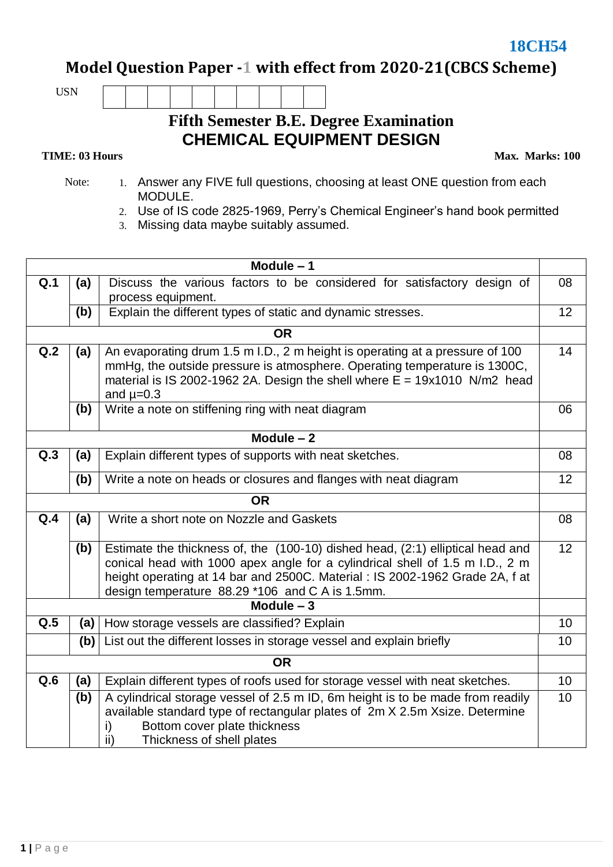$18CH54$ 

**Model Question Paper -1 with effect from 2020-21(CBCS Scheme)**

USN

## **Fifth Semester B.E. Degree Examination CHEMICAL EQUIPMENT DESIGN**

## **TIME: 03 Hours**

**Max. Marks: 100**

- Note: 1. Answer any FIVE full questions, choosing at least ONE question from each MODULE.
	- 2. Use of IS code 2825-1969, Perry's Chemical Engineer's hand book permitted
	- 3. Missing data maybe suitably assumed.

| Module $-1$ |                                                                                                                                                                                                                                                 |                                                                                                                                                                                                                                                                                                   |    |  |  |  |  |
|-------------|-------------------------------------------------------------------------------------------------------------------------------------------------------------------------------------------------------------------------------------------------|---------------------------------------------------------------------------------------------------------------------------------------------------------------------------------------------------------------------------------------------------------------------------------------------------|----|--|--|--|--|
| Q.1         | (a)                                                                                                                                                                                                                                             | Discuss the various factors to be considered for satisfactory design of                                                                                                                                                                                                                           |    |  |  |  |  |
|             |                                                                                                                                                                                                                                                 | process equipment.                                                                                                                                                                                                                                                                                |    |  |  |  |  |
|             | (b)                                                                                                                                                                                                                                             | Explain the different types of static and dynamic stresses.                                                                                                                                                                                                                                       | 12 |  |  |  |  |
| <b>OR</b>   |                                                                                                                                                                                                                                                 |                                                                                                                                                                                                                                                                                                   |    |  |  |  |  |
| Q.2         | (a)                                                                                                                                                                                                                                             | An evaporating drum 1.5 m I.D., 2 m height is operating at a pressure of 100<br>mmHg, the outside pressure is atmosphere. Operating temperature is 1300C,<br>material is IS 2002-1962 2A. Design the shell where $E = 19x1010$ N/m2 head<br>and $\mu=0.3$                                         |    |  |  |  |  |
|             | (b)                                                                                                                                                                                                                                             | Write a note on stiffening ring with neat diagram                                                                                                                                                                                                                                                 | 06 |  |  |  |  |
|             |                                                                                                                                                                                                                                                 | Module $-2$                                                                                                                                                                                                                                                                                       |    |  |  |  |  |
| Q.3         | (a)<br>Explain different types of supports with neat sketches.                                                                                                                                                                                  |                                                                                                                                                                                                                                                                                                   |    |  |  |  |  |
|             | (b)                                                                                                                                                                                                                                             | Write a note on heads or closures and flanges with neat diagram                                                                                                                                                                                                                                   | 12 |  |  |  |  |
|             |                                                                                                                                                                                                                                                 | <b>OR</b>                                                                                                                                                                                                                                                                                         |    |  |  |  |  |
| Q.4         | Write a short note on Nozzle and Gaskets<br>(a)                                                                                                                                                                                                 |                                                                                                                                                                                                                                                                                                   |    |  |  |  |  |
|             | (b)                                                                                                                                                                                                                                             | Estimate the thickness of, the (100-10) dished head, (2:1) elliptical head and<br>conical head with 1000 apex angle for a cylindrical shell of 1.5 m I.D., 2 m<br>height operating at 14 bar and 2500C. Material : IS 2002-1962 Grade 2A, f at<br>design temperature 88.29 *106 and C A is 1.5mm. | 12 |  |  |  |  |
| Module $-3$ |                                                                                                                                                                                                                                                 |                                                                                                                                                                                                                                                                                                   |    |  |  |  |  |
| Q.5         | (a)                                                                                                                                                                                                                                             | How storage vessels are classified? Explain                                                                                                                                                                                                                                                       | 10 |  |  |  |  |
|             | (b)                                                                                                                                                                                                                                             | List out the different losses in storage vessel and explain briefly                                                                                                                                                                                                                               | 10 |  |  |  |  |
| <b>OR</b>   |                                                                                                                                                                                                                                                 |                                                                                                                                                                                                                                                                                                   |    |  |  |  |  |
| Q.6         | (a)                                                                                                                                                                                                                                             | Explain different types of roofs used for storage vessel with neat sketches.                                                                                                                                                                                                                      | 10 |  |  |  |  |
|             | A cylindrical storage vessel of 2.5 m ID, 6m height is to be made from readily<br>(b)<br>available standard type of rectangular plates of 2m X 2.5m X size. Determine<br>Bottom cover plate thickness<br>i)<br>ii)<br>Thickness of shell plates |                                                                                                                                                                                                                                                                                                   |    |  |  |  |  |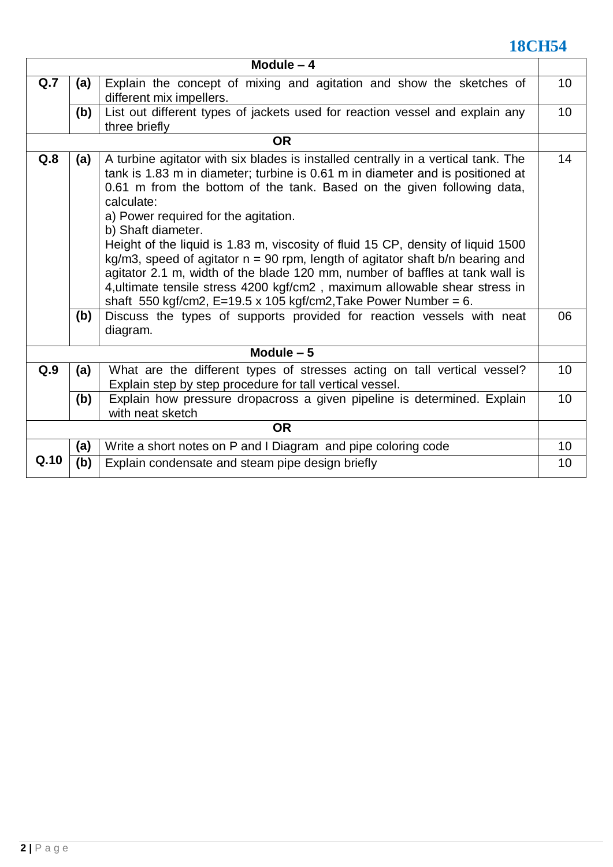## **18CH54**

| Module $-4$ |                                                                                                                                                                                                                                                                                                                                                                                                                                                                                                                                                                                                                                                                                                                                                                                                                          |                                                                              |    |  |  |  |  |
|-------------|--------------------------------------------------------------------------------------------------------------------------------------------------------------------------------------------------------------------------------------------------------------------------------------------------------------------------------------------------------------------------------------------------------------------------------------------------------------------------------------------------------------------------------------------------------------------------------------------------------------------------------------------------------------------------------------------------------------------------------------------------------------------------------------------------------------------------|------------------------------------------------------------------------------|----|--|--|--|--|
| Q.7         | Explain the concept of mixing and agitation and show the sketches of<br>(a)<br>different mix impellers.                                                                                                                                                                                                                                                                                                                                                                                                                                                                                                                                                                                                                                                                                                                  |                                                                              |    |  |  |  |  |
|             | (b)                                                                                                                                                                                                                                                                                                                                                                                                                                                                                                                                                                                                                                                                                                                                                                                                                      | List out different types of jackets used for reaction vessel and explain any | 10 |  |  |  |  |
|             |                                                                                                                                                                                                                                                                                                                                                                                                                                                                                                                                                                                                                                                                                                                                                                                                                          | three briefly                                                                |    |  |  |  |  |
|             |                                                                                                                                                                                                                                                                                                                                                                                                                                                                                                                                                                                                                                                                                                                                                                                                                          | <b>OR</b>                                                                    |    |  |  |  |  |
| Q.8         | A turbine agitator with six blades is installed centrally in a vertical tank. The<br>(a)<br>tank is 1.83 m in diameter; turbine is 0.61 m in diameter and is positioned at<br>0.61 m from the bottom of the tank. Based on the given following data,<br>calculate:<br>a) Power required for the agitation.<br>b) Shaft diameter.<br>Height of the liquid is 1.83 m, viscosity of fluid 15 CP, density of liquid 1500<br>kg/m3, speed of agitator $n = 90$ rpm, length of agitator shaft b/n bearing and<br>agitator 2.1 m, width of the blade 120 mm, number of baffles at tank wall is<br>4, ultimate tensile stress 4200 kgf/cm2, maximum allowable shear stress in<br>shaft 550 kgf/cm2, E=19.5 x 105 kgf/cm2, Take Power Number = 6.<br>Discuss the types of supports provided for reaction vessels with neat<br>(b) |                                                                              |    |  |  |  |  |
|             |                                                                                                                                                                                                                                                                                                                                                                                                                                                                                                                                                                                                                                                                                                                                                                                                                          | diagram.                                                                     |    |  |  |  |  |
| Module $-5$ |                                                                                                                                                                                                                                                                                                                                                                                                                                                                                                                                                                                                                                                                                                                                                                                                                          |                                                                              |    |  |  |  |  |
| Q.9         | (a)                                                                                                                                                                                                                                                                                                                                                                                                                                                                                                                                                                                                                                                                                                                                                                                                                      | What are the different types of stresses acting on tall vertical vessel?     | 10 |  |  |  |  |
|             |                                                                                                                                                                                                                                                                                                                                                                                                                                                                                                                                                                                                                                                                                                                                                                                                                          | Explain step by step procedure for tall vertical vessel.                     |    |  |  |  |  |
|             | (b)                                                                                                                                                                                                                                                                                                                                                                                                                                                                                                                                                                                                                                                                                                                                                                                                                      | Explain how pressure dropacross a given pipeline is determined. Explain      | 10 |  |  |  |  |
|             |                                                                                                                                                                                                                                                                                                                                                                                                                                                                                                                                                                                                                                                                                                                                                                                                                          | with neat sketch<br><b>OR</b>                                                |    |  |  |  |  |
|             |                                                                                                                                                                                                                                                                                                                                                                                                                                                                                                                                                                                                                                                                                                                                                                                                                          |                                                                              |    |  |  |  |  |
|             | (a)                                                                                                                                                                                                                                                                                                                                                                                                                                                                                                                                                                                                                                                                                                                                                                                                                      | Write a short notes on P and I Diagram and pipe coloring code                | 10 |  |  |  |  |
| Q.10        | (b)                                                                                                                                                                                                                                                                                                                                                                                                                                                                                                                                                                                                                                                                                                                                                                                                                      | Explain condensate and steam pipe design briefly                             | 10 |  |  |  |  |